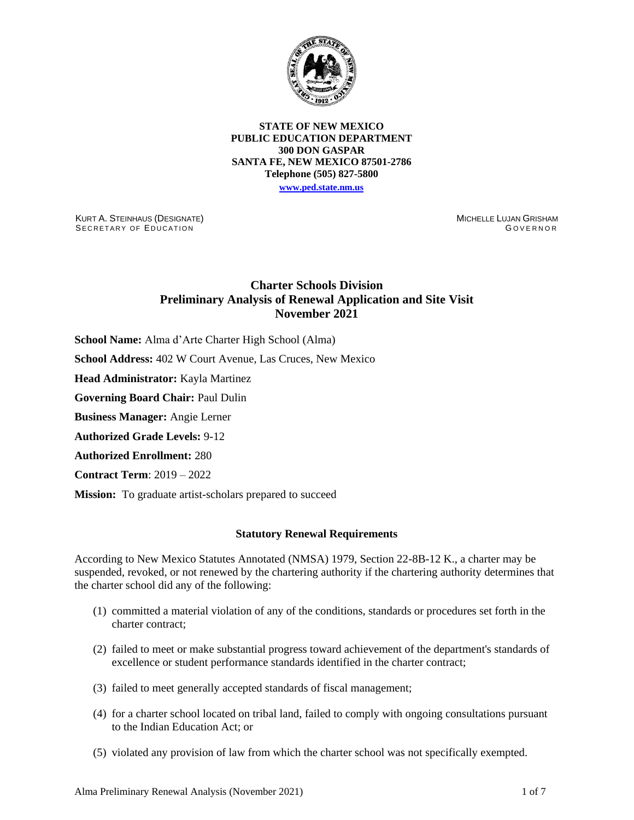

**STATE OF NEW MEXICO PUBLIC EDUCATION DEPARTMENT 300 DON GASPAR SANTA FE, NEW MEXICO 87501-2786 Telephone (505) 827-5800 [www.ped.state.nm.us](http://webnew.ped.state.nm.us/)**

KURT A. STEINHAUS (DESIGNATE) SECRETARY OF EDUCATION

MICHELLE LUJAN GRISHAM GOVERNOR

# **Charter Schools Division Preliminary Analysis of Renewal Application and Site Visit November 2021**

**School Name:** Alma d'Arte Charter High School (Alma)

**School Address:** 402 W Court Avenue, Las Cruces, New Mexico

**Head Administrator:** Kayla Martinez

**Governing Board Chair:** Paul Dulin

**Business Manager:** Angie Lerner

**Authorized Grade Levels:** 9-12

**Authorized Enrollment:** 280

**Contract Term**: 2019 – 2022

**Mission:** To graduate artist-scholars prepared to succeed

#### **Statutory Renewal Requirements**

According to New Mexico Statutes Annotated (NMSA) 1979, Section 22-8B-12 K., a charter may be suspended, revoked, or not renewed by the chartering authority if the chartering authority determines that the charter school did any of the following:

- (1) committed a material violation of any of the conditions, standards or procedures set forth in the charter contract;
- (2) failed to meet or make substantial progress toward achievement of the department's standards of excellence or student performance standards identified in the charter contract;
- (3) failed to meet generally accepted standards of fiscal management;
- (4) for a charter school located on tribal land, failed to comply with ongoing consultations pursuant to the Indian Education Act; or
- (5) violated any provision of law from which the charter school was not specifically exempted.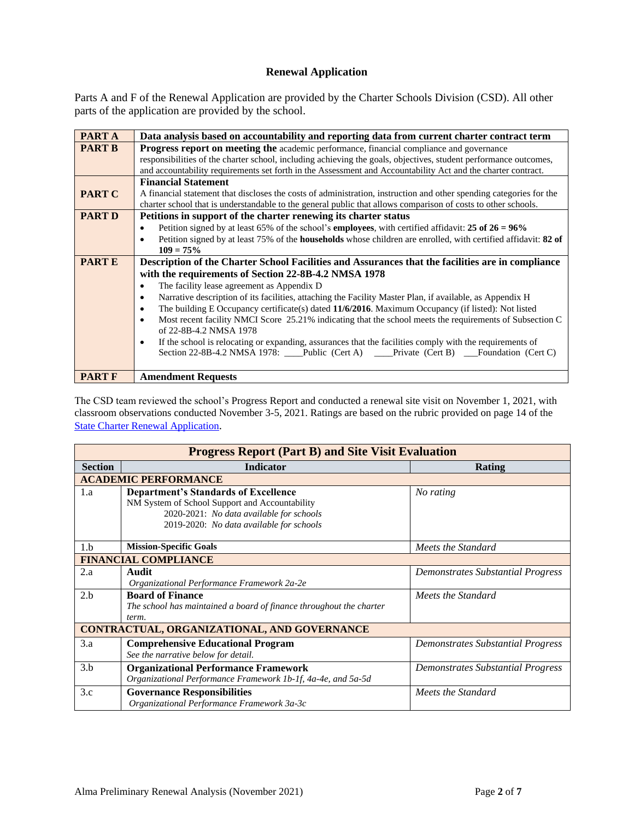## **Renewal Application**

Parts A and F of the Renewal Application are provided by the Charter Schools Division (CSD). All other parts of the application are provided by the school.

| <b>PARTA</b>  | Data analysis based on accountability and reporting data from current charter contract term                                        |  |  |  |
|---------------|------------------------------------------------------------------------------------------------------------------------------------|--|--|--|
| <b>PART B</b> | Progress report on meeting the academic performance, financial compliance and governance                                           |  |  |  |
|               | responsibilities of the charter school, including achieving the goals, objectives, student performance outcomes,                   |  |  |  |
|               | and accountability requirements set forth in the Assessment and Accountability Act and the charter contract.                       |  |  |  |
|               | <b>Financial Statement</b>                                                                                                         |  |  |  |
| <b>PART C</b> | A financial statement that discloses the costs of administration, instruction and other spending categories for the                |  |  |  |
|               | charter school that is understandable to the general public that allows comparison of costs to other schools.                      |  |  |  |
| <b>PART D</b> | Petitions in support of the charter renewing its charter status                                                                    |  |  |  |
|               | Petition signed by at least 65% of the school's <b>employees</b> , with certified affidavit: 25 of 26 = $96\%$<br>$\bullet$        |  |  |  |
|               | Petition signed by at least 75% of the <b>households</b> whose children are enrolled, with certified affidavit: 82 of<br>$\bullet$ |  |  |  |
|               | $109 = 75\%$                                                                                                                       |  |  |  |
| <b>PARTE</b>  | Description of the Charter School Facilities and Assurances that the facilities are in compliance                                  |  |  |  |
|               | with the requirements of Section 22-8B-4.2 NMSA 1978                                                                               |  |  |  |
|               | The facility lease agreement as Appendix D<br>$\bullet$                                                                            |  |  |  |
|               | Narrative description of its facilities, attaching the Facility Master Plan, if available, as Appendix H<br>$\bullet$              |  |  |  |
|               | The building E Occupancy certificate(s) dated 11/6/2016. Maximum Occupancy (if listed): Not listed<br>$\bullet$                    |  |  |  |
|               | Most recent facility NMCI Score 25.21% indicating that the school meets the requirements of Subsection C<br>$\bullet$              |  |  |  |
|               | of 22-8B-4.2 NMSA 1978                                                                                                             |  |  |  |
|               | If the school is relocating or expanding, assurances that the facilities comply with the requirements of<br>$\bullet$              |  |  |  |
|               | Section 22-8B-4.2 NMSA 1978: Public (Cert A) Private (Cert B) Foundation (Cert C)                                                  |  |  |  |
|               |                                                                                                                                    |  |  |  |
| <b>PART F</b> | <b>Amendment Requests</b>                                                                                                          |  |  |  |

The CSD team reviewed the school's Progress Report and conducted a renewal site visit on November 1, 2021, with classroom observations conducted November 3-5, 2021. Ratings are based on the rubric provided on page 14 of the **[State Charter Renewal Application](https://webnew.ped.state.nm.us/bureaus/public-education-commission/policies-and-processes/renewal-application/).** 

| <b>Progress Report (Part B) and Site Visit Evaluation</b> |                                                                                                                                                                                       |                                          |  |  |  |
|-----------------------------------------------------------|---------------------------------------------------------------------------------------------------------------------------------------------------------------------------------------|------------------------------------------|--|--|--|
| <b>Section</b>                                            | <b>Indicator</b>                                                                                                                                                                      | Rating                                   |  |  |  |
|                                                           | <b>ACADEMIC PERFORMANCE</b>                                                                                                                                                           |                                          |  |  |  |
| 1.a                                                       | <b>Department's Standards of Excellence</b><br>NM System of School Support and Accountability<br>2020-2021: No data available for schools<br>2019-2020: No data available for schools | No rating                                |  |  |  |
| 1.h                                                       | <b>Mission-Specific Goals</b>                                                                                                                                                         | Meets the Standard                       |  |  |  |
|                                                           | <b>FINANCIAL COMPLIANCE</b>                                                                                                                                                           |                                          |  |  |  |
| 2.a                                                       | Audit<br>Organizational Performance Framework 2a-2e                                                                                                                                   | <b>Demonstrates Substantial Progress</b> |  |  |  |
| 2.h                                                       | <b>Board of Finance</b><br>The school has maintained a board of finance throughout the charter<br>term.                                                                               | Meets the Standard                       |  |  |  |
| CONTRACTUAL, ORGANIZATIONAL, AND GOVERNANCE               |                                                                                                                                                                                       |                                          |  |  |  |
| 3.a                                                       | <b>Comprehensive Educational Program</b><br>See the narrative below for detail.                                                                                                       | Demonstrates Substantial Progress        |  |  |  |
| 3.b                                                       | <b>Organizational Performance Framework</b><br>Organizational Performance Framework 1b-1f, 4a-4e, and 5a-5d                                                                           | <b>Demonstrates Substantial Progress</b> |  |  |  |
| 3.c                                                       | <b>Governance Responsibilities</b><br>Organizational Performance Framework 3a-3c                                                                                                      | Meets the Standard                       |  |  |  |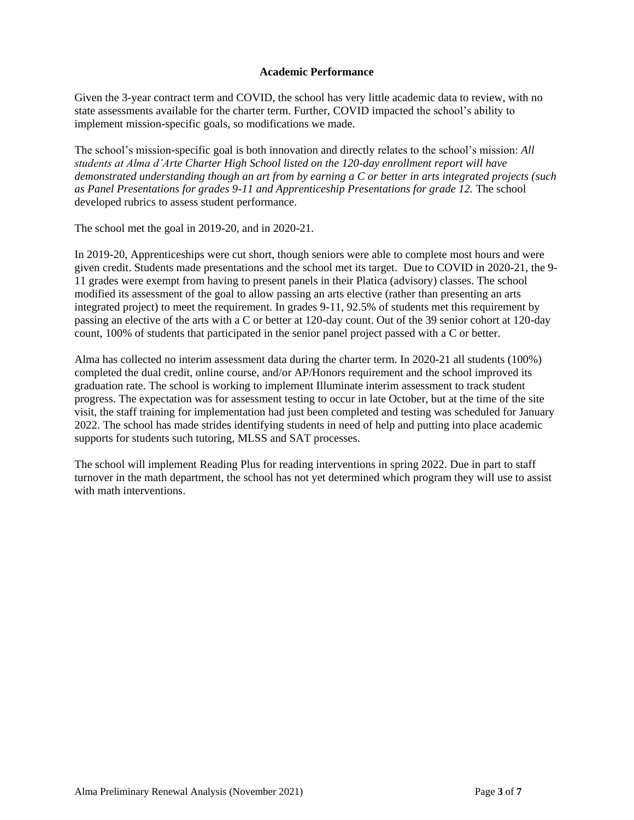## **Academic Performance**

Given the 3-year contract term and COVID, the school has very little academic data to review, with no state assessments available for the charter term. Further, COVID impacted the school's ability to implement mission-specific goals, so modifications we made.

The school's mission-specific goal is both innovation and directly relates to the school's mission: *All students at Alma d'Arte Charter High School listed on the 120-day enrollment report will have demonstrated understanding though an art from by earning a C or better in arts integrated projects (such*  as Panel Presentations for grades 9-11 and Apprenticeship Presentations for grade 12. The school developed rubrics to assess student performance.

The school met the goal in 2019-20, and in 2020-21.

In 2019-20, Apprenticeships were cut short, though seniors were able to complete most hours and were given credit. Students made presentations and the school met its target. Due to COVID in 2020-21, the 9- 11 grades were exempt from having to present panels in their Platica (advisory) classes. The school modified its assessment of the goal to allow passing an arts elective (rather than presenting an arts integrated project) to meet the requirement. In grades 9-11, 92.5% of students met this requirement by passing an elective of the arts with a C or better at 120-day count. Out of the 39 senior cohort at 120-day count, 100% of students that participated in the senior panel project passed with a C or better.

Alma has collected no interim assessment data during the charter term. In 2020-21 all students (100%) completed the dual credit, online course, and/or AP/Honors requirement and the school improved its graduation rate. The school is working to implement Illuminate interim assessment to track student progress. The expectation was for assessment testing to occur in late October, but at the time of the site visit, the staff training for implementation had just been completed and testing was scheduled for January 2022. The school has made strides identifying students in need of help and putting into place academic supports for students such tutoring, MLSS and SAT processes.

The school will implement Reading Plus for reading interventions in spring 2022. Due in part to staff turnover in the math department, the school has not yet determined which program they will use to assist with math interventions.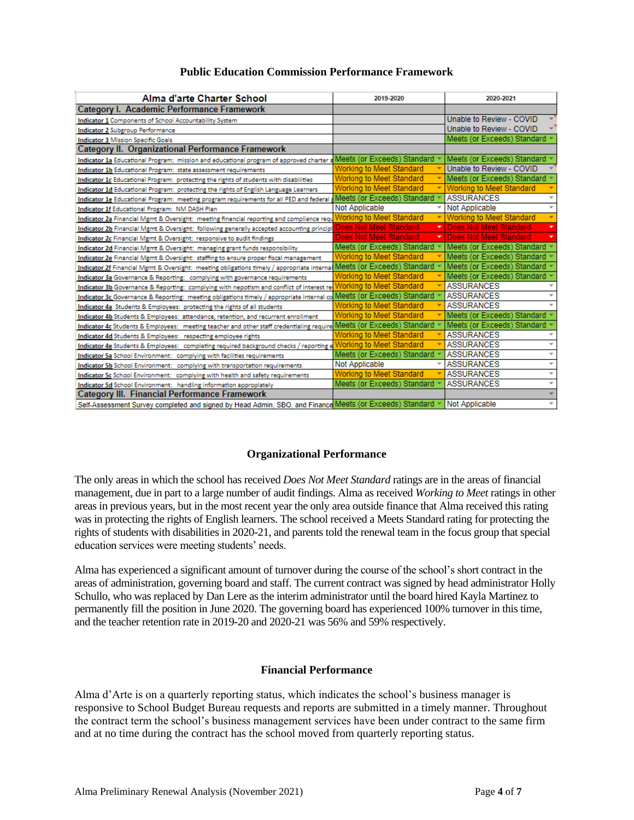|  |  |  | <b>Public Education Commission Performance Framework</b> |  |
|--|--|--|----------------------------------------------------------|--|
|--|--|--|----------------------------------------------------------|--|

| Alma d'arte Charter School                                                                                                | 2019-2020                            | 2020-2021                                     |
|---------------------------------------------------------------------------------------------------------------------------|--------------------------------------|-----------------------------------------------|
| Category I. Academic Performance Framework                                                                                |                                      |                                               |
| <b>Indicator 1</b> Components of School Accountability System                                                             |                                      | Unable to Review - COVID                      |
| <b>Indicator 2 Subgroup Performance</b>                                                                                   |                                      | Unable to Review - COVID                      |
| <b>Indicator 3 Mission Specific Goals</b>                                                                                 |                                      | Meets (or Exceeds) Standard                   |
| <b>Category II. Organizational Performance Framework</b>                                                                  |                                      |                                               |
| Indicator 1a Educational Program: mission and educational program of approved charter a Meets (OF Exceeds) Standard       |                                      | Meets (or Exceeds) Standard ~                 |
| Indicator 1b Educational Program: state assessment requirements                                                           | <b>Working to Meet Standard</b>      | Unable to Review - COVID                      |
| Indicator 1c Educational Program: protecting the rights of students with disabilities                                     | <b>Working to Meet Standard</b>      | Meets (or Exceeds) Standard                   |
| Indicator 1d Educational Program: protecting the rights of English Language Learners                                      | <b>Working to Meet Standard</b><br>٠ | <b>Working to Meet Standard</b>               |
| Indicator 1e Educational Program: meeting program requirements for all PED and federal <b>Meets (or Exceeds) Standard</b> |                                      | <b>ASSURANCES</b><br>$\overline{\phantom{a}}$ |
| Indicator 1f Educational Program: NM DASH Plan                                                                            | Not Applicable                       | Not Applicable<br>$\overline{\phantom{a}}$    |
| Indicator 2a Financial Mgmt & Oversight: meeting financial reporting and compliance requ                                  | <b>Working to Meet Standard</b>      | <b>Working to Meet Standard</b>               |
| Indicator 2b Financial Mgmt & Oversight: following generally accepted accounting principl                                 | Does Not Meet Standard               | Does Not Meet Standard                        |
| Indicator 2c Financial Mgmt & Oversight: responsive to audit findings                                                     | Does Not Meet Standard               | Does Not Meet Standard                        |
| Indicator 2d Financial Mgmt & Oversight: managing grant funds responsibility                                              | Meets (or Exceeds) Standard          | Meets (or Exceeds) Standard *                 |
| Indicator 2e Financial Mgmt & Oversight: staffing to ensure proper fiscal management                                      | <b>Working to Meet Standard</b>      | Meets (or Exceeds) Standard                   |
| Indicator 2f Financial Mgmt & Oversight: meeting obligations timely / appropriate interna Meets (or Exceeds) Standard     |                                      | Meets (or Exceeds) Standard                   |
| Indicator 3a Governance & Reporting: complying with governance requirements                                               | <b>Working to Meet Standard</b>      | Meets (or Exceeds) Standard                   |
| Indicator 3b Governance & Reporting: complying with nepotism and conflict of interest re                                  | <b>Working to Meet Standard</b>      | <b>ASSURANCES</b>                             |
| Indicator 3c Governance & Reporting: meeting obligations timely / appropriate internal co Meets (or Exceeds) Standard     |                                      | <b>ASSURANCES</b>                             |
| Indicator 4a Students & Employees: protecting the rights of all students                                                  | <b>Working to Meet Standard</b>      | <b>ASSURANCES</b>                             |
| Indicator 4b Students & Employees: attendance, retention, and recurrent enrollment                                        | <b>Working to Meet Standard</b>      | Meets (or Exceeds) Standard                   |
| Indicator 4c Students & Employees: meeting teacher and other staff credentialing require Meets (or Exceeds) Standard      |                                      | Meets (or Exceeds) Standard                   |
| Indicator 4d Students & Employees: respecting employee rights                                                             | <b>Working to Meet Standard</b>      | <b>ASSURANCES</b>                             |
| Indicator 4e Students & Employees: completing required background checks / reporting e                                    | <b>Working to Meet Standard</b>      | <b>ASSURANCES</b><br>÷                        |
| Indicator 5a School Environment: complying with facilities requirements                                                   | Meets (or Exceeds) Standard          | <b>ASSURANCES</b><br>$\overline{\phantom{a}}$ |
| Indicator 5b School Environment: complying with transportation requirements                                               | Not Applicable                       | <b>ASSURANCES</b><br>$\overline{\phantom{a}}$ |
| Indicator 5c School Environment: complying with health and safety requirements                                            | <b>Working to Meet Standard</b>      | <b>ASSURANCES</b><br>$\overline{\phantom{a}}$ |
| Indicator 5d School Environment: handling information appropiately                                                        | Meets (or Exceeds) Standard          | <b>ASSURANCES</b><br>$\overline{\phantom{a}}$ |
| Category III. Financial Performance Framework                                                                             |                                      |                                               |
| Self-Assessment Survey completed and signed by Head Admin, SBO, and Finance Meets (or Exceeds) Standard ▼                 |                                      | I Not Applicable<br>$\overline{\phantom{a}}$  |

#### **Organizational Performance**

The only areas in which the school has received *Does Not Meet Standard* ratings are in the areas of financial management, due in part to a large number of audit findings. Alma as received *Working to Meet* ratings in other areas in previous years, but in the most recent year the only area outside finance that Alma received this rating was in protecting the rights of English learners. The school received a Meets Standard rating for protecting the rights of students with disabilities in 2020-21, and parents told the renewal team in the focus group that special education services were meeting students' needs.

Alma has experienced a significant amount of turnover during the course of the school's short contract in the areas of administration, governing board and staff. The current contract was signed by head administrator Holly Schullo, who was replaced by Dan Lere as the interim administrator until the board hired Kayla Martinez to permanently fill the position in June 2020. The governing board has experienced 100% turnover in this time, and the teacher retention rate in 2019-20 and 2020-21 was 56% and 59% respectively.

#### **Financial Performance**

Alma d'Arte is on a quarterly reporting status, which indicates the school's business manager is responsive to School Budget Bureau requests and reports are submitted in a timely manner. Throughout the contract term the school's business management services have been under contract to the same firm and at no time during the contract has the school moved from quarterly reporting status.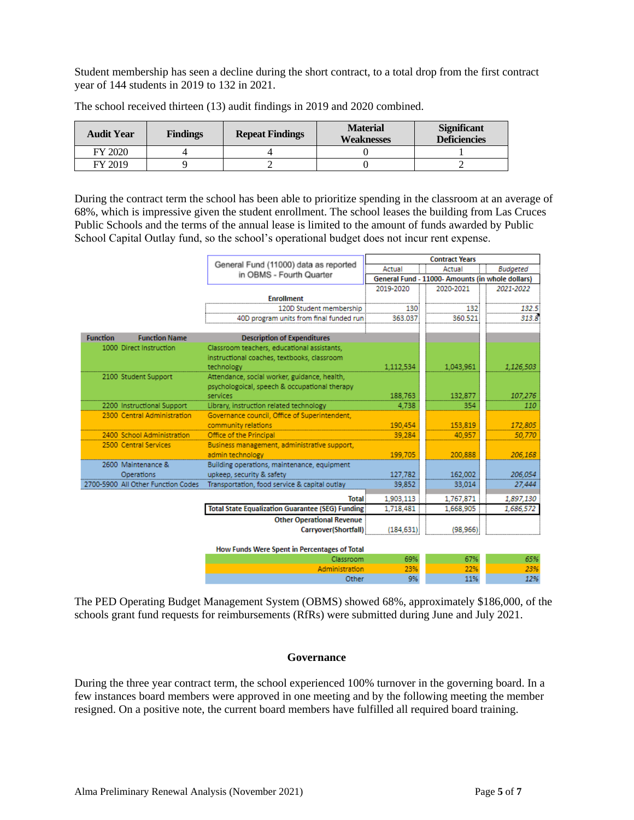Student membership has seen a decline during the short contract, to a total drop from the first contract year of 144 students in 2019 to 132 in 2021.

| <b>Audit Year</b> | <b>Findings</b> | <b>Repeat Findings</b> | <b>Material</b><br>Weaknesses | <b>Significant</b><br><b>Deficiencies</b> |
|-------------------|-----------------|------------------------|-------------------------------|-------------------------------------------|
| FY 2020           |                 |                        |                               |                                           |
| FY 2019           |                 |                        |                               |                                           |

The school received thirteen (13) audit findings in 2019 and 2020 combined.

During the contract term the school has been able to prioritize spending in the classroom at an average of 68%, which is impressive given the student enrollment. The school leases the building from Las Cruces Public Schools and the terms of the annual lease is limited to the amount of funds awarded by Public School Capital Outlay fund, so the school's operational budget does not incur rent expense.

|                                         |                                                           | <b>Contract Years</b><br>Actual<br>Actual<br><b>Budgeted</b><br>General Fund - 11000- Amounts (in whole dollars) |           |            |
|-----------------------------------------|-----------------------------------------------------------|------------------------------------------------------------------------------------------------------------------|-----------|------------|
|                                         | General Fund (11000) data as reported                     |                                                                                                                  |           |            |
|                                         | in OBMS - Fourth Quarter                                  |                                                                                                                  |           |            |
|                                         |                                                           | 2019-2020                                                                                                        | 2020-2021 | 2021-2022  |
|                                         | <b>Enrollment</b>                                         |                                                                                                                  |           |            |
|                                         | 120D Student membership                                   | 130                                                                                                              | 132       | 132.5      |
|                                         | 40D program units from final funded run                   | 363.037                                                                                                          | 360.521   | 313.8      |
| <b>Function Name</b><br><b>Function</b> | <b>Description of Expenditures</b>                        |                                                                                                                  |           |            |
| 1000 Direct Instruction                 | Classroom teachers, educational assistants,               |                                                                                                                  |           |            |
|                                         | instructional coaches, textbooks, classroom               |                                                                                                                  |           |            |
|                                         | technology                                                | 1.112.534                                                                                                        | 1,043,961 | 1,126,503  |
| 2100 Student Support                    | Attendance, social worker, guidance, health,              |                                                                                                                  |           |            |
|                                         | psychologoical, speech & occupational therapy             |                                                                                                                  |           |            |
|                                         | services                                                  | 188,763                                                                                                          | 132,877   | 107,276    |
| 2200 Instructional Support              | Library, instruction related technology                   | 4,738                                                                                                            | 354       | <i>110</i> |
| 2300 Central Administration             | Governance council, Office of Superintendent,             |                                                                                                                  |           |            |
|                                         | community relations                                       | 190.454                                                                                                          | 153,819   | 172,805    |
| 2400 School Administration              | Office of the Principal                                   | 39,284                                                                                                           | 40.957    | 50.770     |
| 2500 Central Services                   | Business management, administrative support,              |                                                                                                                  |           |            |
|                                         | admin technology                                          | 199,705                                                                                                          | 200,888   | 206,168    |
| 2600 Maintenance &                      | Building operations, maintenance, equipment               |                                                                                                                  |           |            |
| Operations                              | upkeep, security & safety                                 | 127,782                                                                                                          | 162,002   | 206,054    |
| 2700-5900 All Other Function Codes      | Transportation, food service & capital outlay             | 39,852                                                                                                           | 33,014    | 27,444     |
|                                         | <b>Total</b>                                              | 1,903,113                                                                                                        | 1,767,871 | 1,897,130  |
|                                         | <b>Total State Equalization Guarantee (SEG) Funding</b>   | 1,718,481                                                                                                        | 1,668,905 | 1,686,572  |
|                                         | <b>Other Operational Revenue</b>                          |                                                                                                                  |           |            |
|                                         | Carryover(Shortfall)                                      | (184.631)                                                                                                        | (98.966)  |            |
|                                         |                                                           |                                                                                                                  |           |            |
|                                         | How Funds Were Spent in Percentages of Total<br>Classroom | 69%                                                                                                              | 67%       | 65%        |
|                                         | Administration                                            | 23%                                                                                                              | 22%       | 23%        |

The PED Operating Budget Management System (OBMS) showed 68%, approximately \$186,000, of the schools grant fund requests for reimbursements (RfRs) were submitted during June and July 2021.

Other

9%

#### **Governance**

During the three year contract term, the school experienced 100% turnover in the governing board. In a few instances board members were approved in one meeting and by the following meeting the member resigned. On a positive note, the current board members have fulfilled all required board training.

11%

12%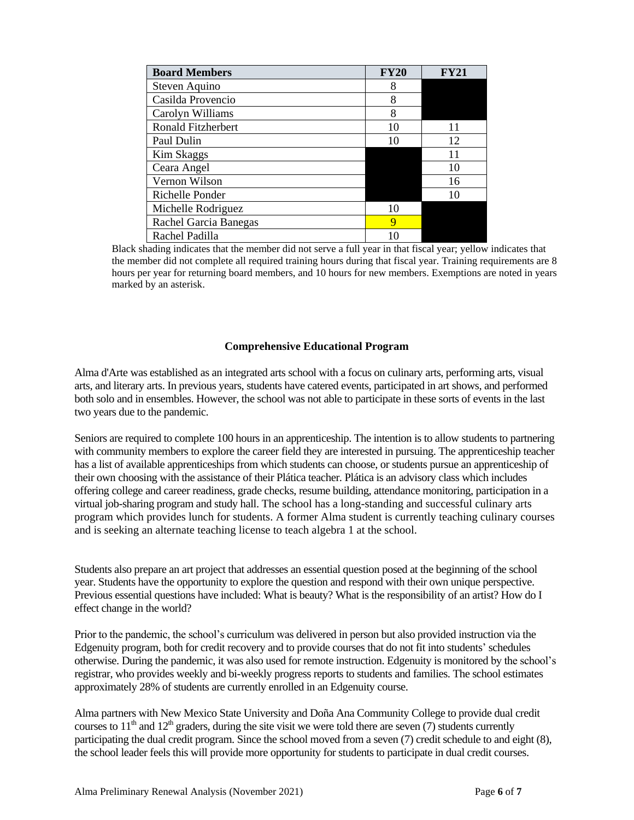| <b>Board Members</b>      | <b>FY20</b> | $\mathbf{F}\mathbf{V}2$ |
|---------------------------|-------------|-------------------------|
| Steven Aquino             | 8           |                         |
| Casilda Provencio         | 8           |                         |
| Carolyn Williams          | 8           |                         |
| <b>Ronald Fitzherbert</b> | 10          |                         |
| Paul Dulin                | 10          | 12                      |
| <b>Kim Skaggs</b>         |             |                         |
| Ceara Angel               |             | 10                      |
| Vernon Wilson             |             | 16                      |
| Richelle Ponder           |             |                         |
| Michelle Rodriguez        | 10          |                         |
| Rachel Garcia Banegas     | 9           |                         |
| Rachel Padilla            |             |                         |

Black shading indicates that the member did not serve a full year in that fiscal year; yellow indicates that the member did not complete all required training hours during that fiscal year. Training requirements are 8 hours per year for returning board members, and 10 hours for new members. Exemptions are noted in years marked by an asterisk.

### **Comprehensive Educational Program**

Alma d'Arte was established as an integrated arts school with a focus on culinary arts, performing arts, visual arts, and literary arts. In previous years, students have catered events, participated in art shows, and performed both solo and in ensembles. However, the school was not able to participate in these sorts of events in the last two years due to the pandemic.

Seniors are required to complete 100 hours in an apprenticeship. The intention is to allow students to partnering with community members to explore the career field they are interested in pursuing. The apprenticeship teacher has a list of available apprenticeships from which students can choose, or students pursue an apprenticeship of their own choosing with the assistance of their Plática teacher. Plática is an advisory class which includes offering college and career readiness, grade checks, resume building, attendance monitoring, participation in a virtual job-sharing program and study hall. The school has a long-standing and successful culinary arts program which provides lunch for students. A former Alma student is currently teaching culinary courses and is seeking an alternate teaching license to teach algebra 1 at the school.

Students also prepare an art project that addresses an essential question posed at the beginning of the school year. Students have the opportunity to explore the question and respond with their own unique perspective. Previous essential questions have included: What is beauty? What is the responsibility of an artist? How do I effect change in the world?

Prior to the pandemic, the school's curriculum was delivered in person but also provided instruction via the Edgenuity program, both for credit recovery and to provide courses that do not fit into students' schedules otherwise. During the pandemic, it was also used for remote instruction. Edgenuity is monitored by the school's registrar, who provides weekly and bi-weekly progress reports to students and families. The school estimates approximately 28% of students are currently enrolled in an Edgenuity course.

Alma partners with New Mexico State University and Doña Ana Community College to provide dual credit courses to  $11<sup>th</sup>$  and  $12<sup>th</sup>$  graders, during the site visit we were told there are seven (7) students currently participating the dual credit program. Since the school moved from a seven (7) credit schedule to and eight (8), the school leader feels this will provide more opportunity for students to participate in dual credit courses.